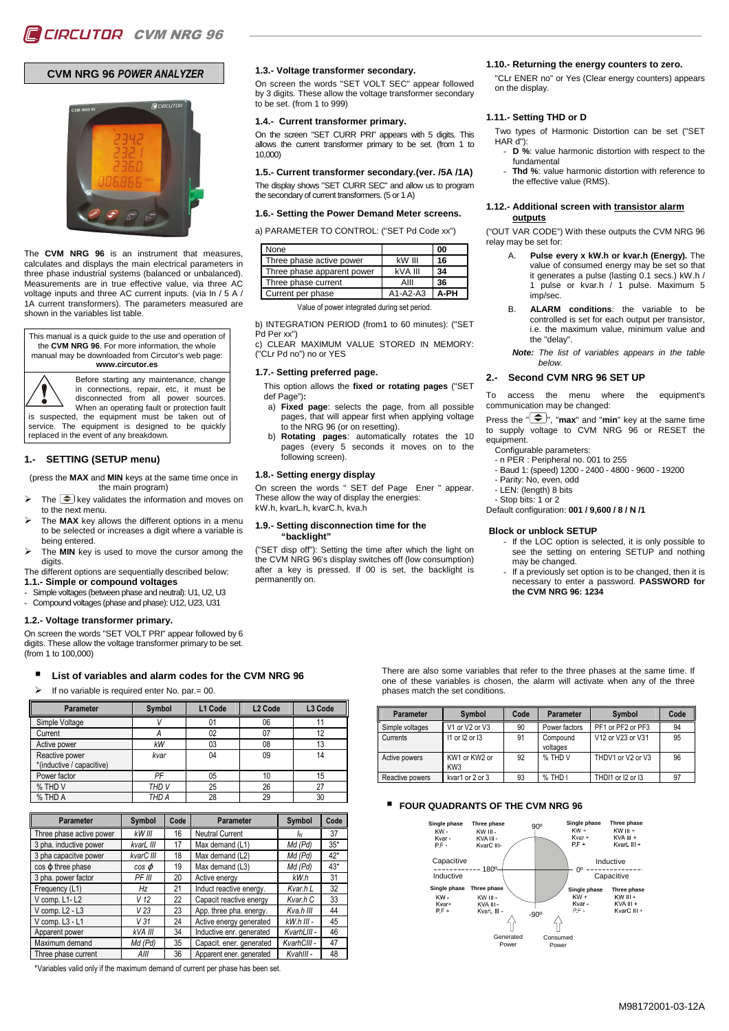# **CVM NRG 96** *POWER ANALYZER*



The **CVM NRG 96** is an instrument that measures, calculates and displays the main electrical parameters in three phase industrial systems (balanced or unbalanced). Measurements are in true effective value, via three AC voltage inputs and three AC current inputs. (via In / 5 A / 1A current transformers). The parameters measured are shown in the variables list table.

This manual is a quick guide to the use and operation of the **CVM NRG 96**. For more information, the whole manual may be downloaded from Circutor's web page: **www.circutor.es**

Before starting any maintenance, change

in connections, repair, etc, it must be disconnected from all power sources. When an operating fault or protection fault is suspected, the equipment must be taken out of

The equipment is designed to be quickly replaced in the event of any breakdown.

### **1.- SETTING (SETUP menu)**

(press the **MAX** and **MIN** keys at the same time once in the main program)

- The  $\circledast$  key validates the information and moves on to the next menu.
- The **MAX** key allows the different options in a menu to be selected or increases a digit where a variable is being entered.
- The **MIN** key is used to move the cursor among the digits

The different options are sequentially described below: **1.1.- Simple or compound voltages** 

- Simple voltages (between phase and neutral): U1, U2, U3
- Compound voltages (phase and phase): U12, U23, U31

#### **1.2.- Voltage transformer primary.**

On screen the words "SET VOLT PRI" appear followed by 6 digits. These allow the voltage transformer primary to be set. (from 1 to 100,000)

#### -**List of variables and alarm codes for the CVM NRG 96**

If no variable is required enter No. par.= 00.

| Parameter                                   | Symbol           | L1 Code | L <sub>2</sub> Code | L <sub>3</sub> Code |
|---------------------------------------------|------------------|---------|---------------------|---------------------|
| Simple Voltage                              |                  | 01      | 06                  |                     |
| Current                                     | А                | 02      | 07                  | 12                  |
| Active power                                | kW               | 03      | 08                  | 13                  |
| Reactive power<br>*(inductive / capacitive) | kvar             | 04      | 09                  | 14                  |
| Power factor                                | PF               | 05      | 10                  | 15                  |
| % THD V                                     | THD <sub>V</sub> | 25      | 26                  | 27                  |
| % THD A                                     | THD A            | 28      | 29                  | 30                  |

| <b>Parameter</b>         | Symbol          | Code | <b>Parameter</b>         | Symbol       | Code  |
|--------------------------|-----------------|------|--------------------------|--------------|-------|
| Three phase active power | kW III          | 16   | <b>Neutral Current</b>   | ΙN           | 37    |
| 3 pha. inductive power   | kvarL III       | 17   | Max demand (L1)          | Md (Pd)      | $35*$ |
| 3 pha capacitve power    | kvarC III       | 18   | Max demand (L2)          | Md (Pd)      | $42*$ |
| cos o three phase        | $cos \varphi$   | 19   | Max demand (L3)          | Md (Pd)      | $43*$ |
| 3 pha. power factor      | PF III          | 20   | Active energy            | kW.h         | 31    |
| Frequency (L1)           | Hz              | 21   | Induct reactive energy.  | Kvar.h L     | 32    |
| V comp. L1-L2            | V 12            | 22   | Capacit reactive energy  | Kvar.h C     | 33    |
| V comp. L2 - L3          | V <sub>23</sub> | 23   | App. three pha. energy.  | Kva.h III    | 44    |
| V comp. L3 - L1          | V 31            | 24   | Active energy generated  | $kW.h$ III - | 45    |
| Apparent power           | kVA III         | 34   | Inductive enr. generated | KvarhLIII -  | 46    |
| Maximum demand           | Md (Pd)         | 35   | Capacit. ener. generated | KvarhCIII -  | 47    |
| Three phase current      | AIII            | 36   | Apparent ener. generated | Kvahlll -    | 48    |

\*Variables valid only if the maximum demand of current per phase has been set.

#### **1.3.- Voltage transformer secondary.**

On screen the words "SET VOLT SEC" appear followed by 3 digits. These allow the voltage transformer secondary to be set. (from 1 to 999)

#### **1.4.- Current transformer primary.**

On the screen "SET CURR PRI" appears with 5 digits. This allows the current transformer primary to be set. (from 1 to 10,000)

**1.5.- Current transformer secondary.(ver. /5A /1A)**  The display shows "SET CURR SEC" and allow us to program the secondary of current transformers. (5 or 1 A)

#### **1.6.- Setting the Power Demand Meter screens.**

a) PARAMETER TO CONTROL: ("SET Pd Code xx")

| None                       |                    | 00   |
|----------------------------|--------------------|------|
| Three phase active power   | $k$ <sub>III</sub> | 16   |
| Three phase apparent power | kVA III            | 34   |
| Three phase current        | AIII               | 36   |
| Current per phase          | $A1-A2-A3$         | A-PH |

Value of power integrated during set period.

b) INTEGRATION PERIOD (from1 to 60 minutes): ("SET Pd Per xx")

c) CLEAR MAXIMUM VALUE STORED IN MEMORY: ("CLr Pd no") no or YES

#### **1.7.- Setting preferred page.**

This option allows the **fixed or rotating pages** ("SET def Page")**:** 

- a) **Fixed page**: selects the page, from all possible pages, that will appear first when applying voltage to the NRG 96 (or on resetting).
- b) **Rotating pages**: automatically rotates the 10 pages (every 5 seconds it moves on to the following screen).

#### **1.8.- Setting energy display**

On screen the words " SET def Page Ener " appear. These allow the way of display the energies: kW.h, kvarL.h, kvarC.h, kva.h

#### **1.9.- Setting disconnection time for the "backlight"**

("SET disp off"): Setting the time after which the light on the CVM NRG 96's display switches off (low consumption) after a key is pressed. If 00 is set, the backlight is permanently on.

#### **1.10.- Returning the energy counters to zero.**

"CLr ENER no" or Yes (Clear energy counters) appears on the display.

#### **1.11.- Setting THD or D**

Two types of Harmonic Distortion can be set ("SET  $HAR$   $d$ "):

- **D** %: value harmonic distortion with respect to the fundamental
- Thd %: value harmonic distortion with reference to the effective value (RMS).

#### **1.12.- Additional screen with transistor alarm outputs**

("OUT VAR CODE") With these outputs the CVM NRG 96 relay may be set for:

- **Pulse every x kW.h or kvar.h (Energy).** The value of consumed energy may be set so that it generates a pulse (lasting 0.1 secs.) kW.h / 1 pulse or kvar.h / 1 pulse. Maximum 5 imp/sec.
- B. **ALARM conditions**: the variable to be controlled is set for each output per transistor, i.e. the maximum value, minimum value and the "delay".

**Note:** The list of variables appears in the table below.

#### **2.- Second CVM NRG 96 SET UP**

To access the menu where the equipment's communication may be changed:

Press the  $\left( \bigstar \right)$ , "**max**" and "**min**" key at the same time to supply voltage to CVM NRG 96 or RESET the equipment.

- Configurable parameters:
- n PER : Peripheral no. 001 to 255
- Baud 1: (speed) 1200 2400 4800 9600 19200
- Parity: No, even, odd
- LEN: (length) 8 bits
- Stop bits: 1 or 2

Default configuration: **001 / 9,600 / 8 / N /1**

#### **Block or unblock SETUP**

- If the LOC option is selected, it is only possible to see the setting on entering SETUP and nothing may be changed.
- If a previously set option is to be changed, then it is necessary to enter a password. **PASSWORD for the CVM NRG 96: 1234**

There are also some variables that refer to the three phases at the same time. If one of these variables is chosen, the alarm will activate when any of the three phases match the set conditions.

| <b>Parameter</b> | Symbol                           | Code | Parameter            | Symbol            | Code |
|------------------|----------------------------------|------|----------------------|-------------------|------|
| Simple voltages  | V1 or V2 or V3                   | 90   | Power factors        | PF1 or PF2 or PF3 | 94   |
| Currents         | $11$ or $12$ or $13$             | 91   | Compound<br>voltages | V12 or V23 or V31 | 95   |
| Active powers    | KW1 or KW2 or<br>KW <sub>3</sub> | 92   | % THD V              | THDV1 or V2 or V3 | 96   |
| Reactive powers  | kvar1 or 2 or 3                  | 93   | % THD I              | THDI1 or I2 or I3 | 97   |

# - **FOUR QUADRANTS OF THE CVM NRG 96**